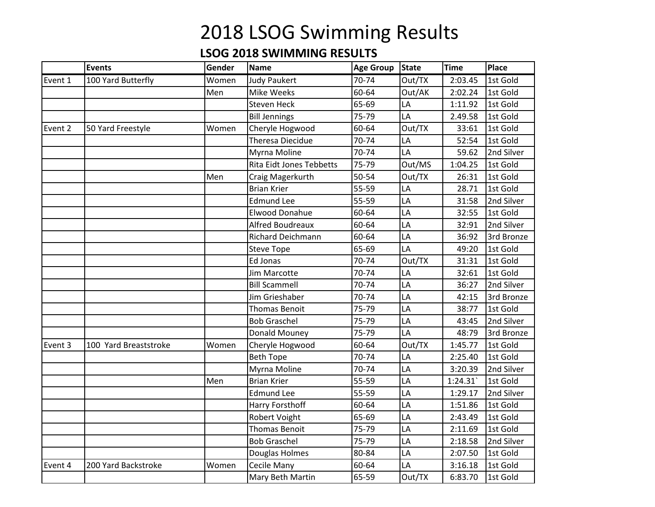#### **LSOG 2018 SWIMMING RESULTS**

|         | Events                | Gender | <b>Name</b>              | <b>Age Group</b> | <b>State</b> | <b>Time</b> | Place      |
|---------|-----------------------|--------|--------------------------|------------------|--------------|-------------|------------|
| Event 1 | 100 Yard Butterfly    | Women  | <b>Judy Paukert</b>      | 70-74            | Out/TX       | 2:03.45     | 1st Gold   |
|         |                       | Men    | Mike Weeks               | 60-64            | Out/AK       | 2:02.24     | 1st Gold   |
|         |                       |        | <b>Steven Heck</b>       | 65-69            | LA           | 1:11.92     | 1st Gold   |
|         |                       |        | <b>Bill Jennings</b>     | 75-79            | LA           | 2.49.58     | 1st Gold   |
| Event 2 | 50 Yard Freestyle     | Women  | Cheryle Hogwood          | 60-64            | Out/TX       | 33:61       | 1st Gold   |
|         |                       |        | <b>Theresa Diecidue</b>  | 70-74            | LA           | 52:54       | 1st Gold   |
|         |                       |        | Myrna Moline             | 70-74            | LA           | 59.62       | 2nd Silver |
|         |                       |        | Rita Eidt Jones Tebbetts | 75-79            | Out/MS       | 1:04.25     | 1st Gold   |
|         |                       | Men    | Craig Magerkurth         | 50-54            | Out/TX       | 26:31       | 1st Gold   |
|         |                       |        | <b>Brian Krier</b>       | 55-59            | LA           | 28.71       | 1st Gold   |
|         |                       |        | <b>Edmund Lee</b>        | 55-59            | LA           | 31:58       | 2nd Silver |
|         |                       |        | Elwood Donahue           | 60-64            | LA           | 32:55       | 1st Gold   |
|         |                       |        | <b>Alfred Boudreaux</b>  | 60-64            | LA           | 32:91       | 2nd Silver |
|         |                       |        | Richard Deichmann        | 60-64            | LA           | 36:92       | 3rd Bronze |
|         |                       |        | <b>Steve Tope</b>        | 65-69            | LA           | 49:20       | 1st Gold   |
|         |                       |        | Ed Jonas                 | 70-74            | Out/TX       | 31:31       | 1st Gold   |
|         |                       |        | Jim Marcotte             | 70-74            | LA           | 32:61       | 1st Gold   |
|         |                       |        | <b>Bill Scammell</b>     | 70-74            | LA           | 36:27       | 2nd Silver |
|         |                       |        | Jim Grieshaber           | 70-74            | LA           | 42:15       | 3rd Bronze |
|         |                       |        | <b>Thomas Benoit</b>     | 75-79            | LA           | 38:77       | 1st Gold   |
|         |                       |        | <b>Bob Graschel</b>      | 75-79            | LA           | 43:45       | 2nd Silver |
|         |                       |        | Donald Mouney            | 75-79            | LA           | 48:79       | 3rd Bronze |
| Event 3 | 100 Yard Breaststroke | Women  | Cheryle Hogwood          | 60-64            | Out/TX       | 1:45.77     | 1st Gold   |
|         |                       |        | <b>Beth Tope</b>         | 70-74            | LA           | 2:25.40     | 1st Gold   |
|         |                       |        | Myrna Moline             | 70-74            | LA           | 3:20.39     | 2nd Silver |
|         |                       | Men    | <b>Brian Krier</b>       | 55-59            | LA           | 1:24.31'    | 1st Gold   |
|         |                       |        | <b>Edmund Lee</b>        | 55-59            | LA           | 1:29.17     | 2nd Silver |
|         |                       |        | Harry Forsthoff          | 60-64            | LA           | 1:51.86     | 1st Gold   |
|         |                       |        | <b>Robert Voight</b>     | 65-69            | LA           | 2:43.49     | 1st Gold   |
|         |                       |        | <b>Thomas Benoit</b>     | 75-79            | LA           | 2:11.69     | 1st Gold   |
|         |                       |        | <b>Bob Graschel</b>      | 75-79            | LA           | 2:18.58     | 2nd Silver |
|         |                       |        | Douglas Holmes           | 80-84            | LA           | 2:07.50     | 1st Gold   |
| Event 4 | 200 Yard Backstroke   | Women  | Cecile Many              | 60-64            | LA           | 3:16.18     | 1st Gold   |
|         |                       |        | Mary Beth Martin         | 65-59            | Out/TX       | 6:83.70     | 1st Gold   |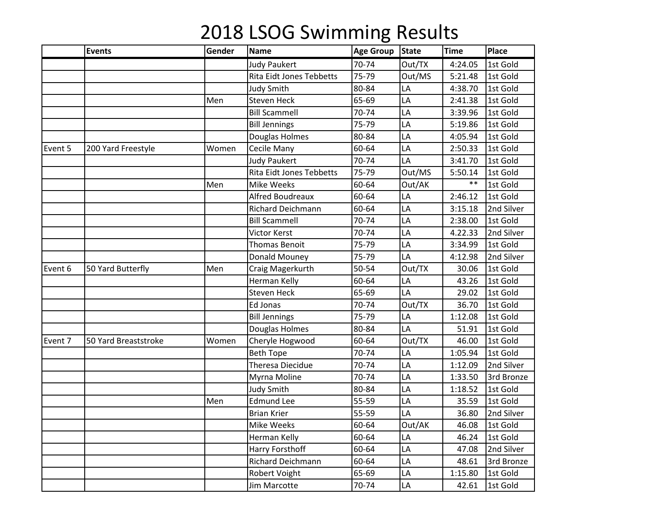|         | <b>Events</b>        | Gender | <b>Name</b>                     | <b>Age Group</b> | <b>State</b> | <b>Time</b> | Place      |
|---------|----------------------|--------|---------------------------------|------------------|--------------|-------------|------------|
|         |                      |        | <b>Judy Paukert</b>             | 70-74            | Out/TX       | 4:24.05     | 1st Gold   |
|         |                      |        | <b>Rita Eidt Jones Tebbetts</b> | 75-79            | Out/MS       | 5:21.48     | 1st Gold   |
|         |                      |        | <b>Judy Smith</b>               | 80-84            | LA           | 4:38.70     | 1st Gold   |
|         |                      | Men    | <b>Steven Heck</b>              | 65-69            | LA           | 2:41.38     | 1st Gold   |
|         |                      |        | <b>Bill Scammell</b>            | 70-74            | LA           | 3:39.96     | 1st Gold   |
|         |                      |        | <b>Bill Jennings</b>            | 75-79            | LA           | 5:19.86     | 1st Gold   |
|         |                      |        | Douglas Holmes                  | 80-84            | LA           | 4:05.94     | 1st Gold   |
| Event 5 | 200 Yard Freestyle   | Women  | Cecile Many                     | 60-64            | LA           | 2:50.33     | 1st Gold   |
|         |                      |        | <b>Judy Paukert</b>             | 70-74            | LA           | 3:41.70     | 1st Gold   |
|         |                      |        | <b>Rita Eidt Jones Tebbetts</b> | 75-79            | Out/MS       | 5:50.14     | 1st Gold   |
|         |                      | Men    | Mike Weeks                      | 60-64            | Out/AK       | $***$       | 1st Gold   |
|         |                      |        | <b>Alfred Boudreaux</b>         | 60-64            | LA           | 2:46.12     | 1st Gold   |
|         |                      |        | Richard Deichmann               | 60-64            | LA           | 3:15.18     | 2nd Silver |
|         |                      |        | <b>Bill Scammell</b>            | 70-74            | LA           | 2:38.00     | 1st Gold   |
|         |                      |        | <b>Victor Kerst</b>             | 70-74            | LA           | 4.22.33     | 2nd Silver |
|         |                      |        | <b>Thomas Benoit</b>            | 75-79            | LA           | 3:34.99     | 1st Gold   |
|         |                      |        | Donald Mouney                   | 75-79            | LA           | 4:12.98     | 2nd Silver |
| Event 6 | 50 Yard Butterfly    | Men    | Craig Magerkurth                | 50-54            | Out/TX       | 30.06       | 1st Gold   |
|         |                      |        | Herman Kelly                    | 60-64            | LA           | 43.26       | 1st Gold   |
|         |                      |        | <b>Steven Heck</b>              | 65-69            | LA           | 29.02       | 1st Gold   |
|         |                      |        | Ed Jonas                        | 70-74            | Out/TX       | 36.70       | 1st Gold   |
|         |                      |        | <b>Bill Jennings</b>            | 75-79            | LA           | 1:12.08     | 1st Gold   |
|         |                      |        | Douglas Holmes                  | 80-84            | LA           | 51.91       | 1st Gold   |
| Event 7 | 50 Yard Breaststroke | Women  | Cheryle Hogwood                 | 60-64            | Out/TX       | 46.00       | 1st Gold   |
|         |                      |        | <b>Beth Tope</b>                | 70-74            | LA           | 1:05.94     | 1st Gold   |
|         |                      |        | <b>Theresa Diecidue</b>         | 70-74            | LA           | 1:12.09     | 2nd Silver |
|         |                      |        | Myrna Moline                    | 70-74            | LA           | 1:33.50     | 3rd Bronze |
|         |                      |        | <b>Judy Smith</b>               | 80-84            | LA           | 1:18.52     | 1st Gold   |
|         |                      | Men    | <b>Edmund Lee</b>               | 55-59            | LA           | 35.59       | 1st Gold   |
|         |                      |        | <b>Brian Krier</b>              | 55-59            | LA           | 36.80       | 2nd Silver |
|         |                      |        | Mike Weeks                      | 60-64            | Out/AK       | 46.08       | 1st Gold   |
|         |                      |        | Herman Kelly                    | 60-64            | LA           | 46.24       | 1st Gold   |
|         |                      |        | Harry Forsthoff                 | 60-64            | LA           | 47.08       | 2nd Silver |
|         |                      |        | Richard Deichmann               | 60-64            | LA           | 48.61       | 3rd Bronze |
|         |                      |        | Robert Voight                   | 65-69            | LA           | 1:15.80     | 1st Gold   |
|         |                      |        | Jim Marcotte                    | 70-74            | LA           | 42.61       | 1st Gold   |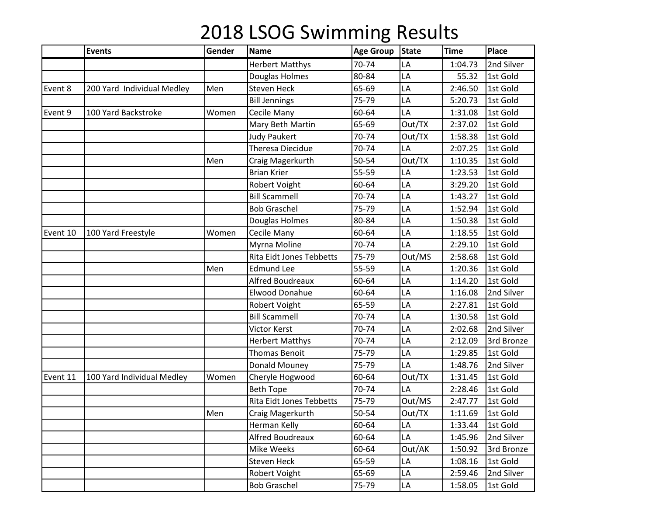|          | <b>Events</b>              | Gender | <b>Name</b>              | <b>Age Group</b> | State  | <b>Time</b> | <b>Place</b> |
|----------|----------------------------|--------|--------------------------|------------------|--------|-------------|--------------|
|          |                            |        | <b>Herbert Matthys</b>   | 70-74            | LA     | 1:04.73     | 2nd Silver   |
|          |                            |        | Douglas Holmes           | 80-84            | LA     | 55.32       | 1st Gold     |
| Event 8  | 200 Yard Individual Medley | Men    | <b>Steven Heck</b>       | 65-69            | LA     | 2:46.50     | 1st Gold     |
|          |                            |        | <b>Bill Jennings</b>     | 75-79            | LA     | 5:20.73     | 1st Gold     |
| Event 9  | 100 Yard Backstroke        | Women  | Cecile Many              | 60-64            | LA     | 1:31.08     | 1st Gold     |
|          |                            |        | Mary Beth Martin         | 65-69            | Out/TX | 2:37.02     | 1st Gold     |
|          |                            |        | <b>Judy Paukert</b>      | 70-74            | Out/TX | 1:58.38     | 1st Gold     |
|          |                            |        | <b>Theresa Diecidue</b>  | 70-74            | LA     | 2:07.25     | 1st Gold     |
|          |                            | Men    | Craig Magerkurth         | 50-54            | Out/TX | 1:10.35     | 1st Gold     |
|          |                            |        | <b>Brian Krier</b>       | 55-59            | LA     | 1:23.53     | 1st Gold     |
|          |                            |        | Robert Voight            | 60-64            | LA     | 3:29.20     | 1st Gold     |
|          |                            |        | <b>Bill Scammell</b>     | 70-74            | LA     | 1:43.27     | 1st Gold     |
|          |                            |        | <b>Bob Graschel</b>      | 75-79            | LA     | 1:52.94     | 1st Gold     |
|          |                            |        | Douglas Holmes           | 80-84            | LA     | 1:50.38     | 1st Gold     |
| Event 10 | 100 Yard Freestyle         | Women  | Cecile Many              | 60-64            | LA     | 1:18.55     | 1st Gold     |
|          |                            |        | Myrna Moline             | 70-74            | LA     | 2:29.10     | 1st Gold     |
|          |                            |        | Rita Eidt Jones Tebbetts | 75-79            | Out/MS | 2:58.68     | 1st Gold     |
|          |                            | Men    | <b>Edmund Lee</b>        | 55-59            | LA     | 1:20.36     | 1st Gold     |
|          |                            |        | <b>Alfred Boudreaux</b>  | 60-64            | LA     | 1:14.20     | 1st Gold     |
|          |                            |        | Elwood Donahue           | 60-64            | LA     | 1:16.08     | 2nd Silver   |
|          |                            |        | Robert Voight            | 65-59            | LA     | 2:27.81     | 1st Gold     |
|          |                            |        | <b>Bill Scammell</b>     | 70-74            | LA     | 1:30.58     | 1st Gold     |
|          |                            |        | <b>Victor Kerst</b>      | 70-74            | LA     | 2:02.68     | 2nd Silver   |
|          |                            |        | <b>Herbert Matthys</b>   | 70-74            | LA     | 2:12.09     | 3rd Bronze   |
|          |                            |        | <b>Thomas Benoit</b>     | 75-79            | LA     | 1:29.85     | 1st Gold     |
|          |                            |        | Donald Mouney            | 75-79            | LA     | 1:48.76     | 2nd Silver   |
| Event 11 | 100 Yard Individual Medley | Women  | Cheryle Hogwood          | 60-64            | Out/TX | 1:31.45     | 1st Gold     |
|          |                            |        | <b>Beth Tope</b>         | 70-74            | LA     | 2:28.46     | 1st Gold     |
|          |                            |        | Rita Eidt Jones Tebbetts | 75-79            | Out/MS | 2:47.77     | 1st Gold     |
|          |                            | Men    | Craig Magerkurth         | 50-54            | Out/TX | 1:11.69     | 1st Gold     |
|          |                            |        | Herman Kelly             | 60-64            | LA     | 1:33.44     | 1st Gold     |
|          |                            |        | <b>Alfred Boudreaux</b>  | 60-64            | LA     | 1:45.96     | 2nd Silver   |
|          |                            |        | <b>Mike Weeks</b>        | 60-64            | Out/AK | 1:50.92     | 3rd Bronze   |
|          |                            |        | Steven Heck              | 65-59            | LA     | 1:08.16     | 1st Gold     |
|          |                            |        | Robert Voight            | 65-69            | LA     | 2:59.46     | 2nd Silver   |
|          |                            |        | <b>Bob Graschel</b>      | 75-79            | LA     | 1:58.05     | 1st Gold     |